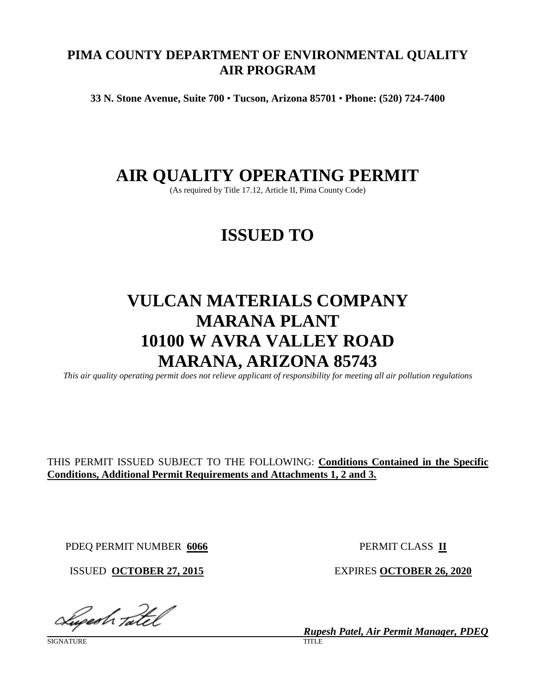# **PIMA COUNTY DEPARTMENT OF ENVIRONMENTAL QUALITY AIR PROGRAM**

**33 N. Stone Avenue, Suite 700** • **Tucson, Arizona 85701** • **Phone: (520) 724-7400**

# **AIR QUALITY OPERATING PERMIT**

(As required by Title 17.12, Article II, Pima County Code)

# **ISSUED TO**

# **VULCAN MATERIALS COMPANY MARANA PLANT 10100 W AVRA VALLEY ROAD MARANA, ARIZONA 85743**

*This air quality operating permit does not relieve applicant of responsibility for meeting all air pollution regulations*

# THIS PERMIT ISSUED SUBJECT TO THE FOLLOWING: **Conditions Contained in the Specific Conditions, Additional Permit Requirements and Attachments 1, 2 and 3.**

PDEQ PERMIT NUMBER **6066** PERMIT CLASS **II**

Luperh Tatel

SIGNATURE

ISSUED **OCTOBER 27, 2015** EXPIRES **OCTOBER 26, 2020**

*Rupesh Patel, Air Permit Manager, PDEQ*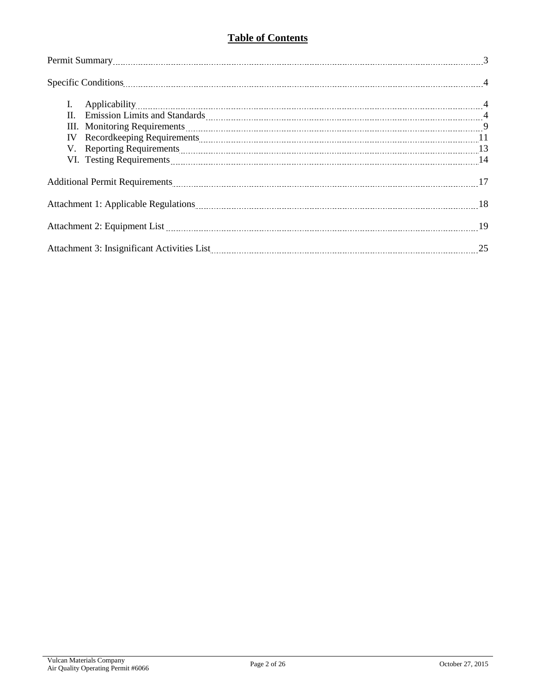# **Table of Contents**

| I.                                                                                                                                                                                                                             |  |  |  |  |  |
|--------------------------------------------------------------------------------------------------------------------------------------------------------------------------------------------------------------------------------|--|--|--|--|--|
|                                                                                                                                                                                                                                |  |  |  |  |  |
|                                                                                                                                                                                                                                |  |  |  |  |  |
| IV                                                                                                                                                                                                                             |  |  |  |  |  |
| V. Reporting Requirements 2000 and 2000 and 2000 and 2000 and 2000 and 2000 and 2000 and 2000 and 2000 and 200                                                                                                                 |  |  |  |  |  |
| VI. Testing Requirements Material Communications and the contract of the contract of the contract of the contract of the contract of the contract of the contract of the contract of the contract of the contract of the contr |  |  |  |  |  |
|                                                                                                                                                                                                                                |  |  |  |  |  |
|                                                                                                                                                                                                                                |  |  |  |  |  |
|                                                                                                                                                                                                                                |  |  |  |  |  |
|                                                                                                                                                                                                                                |  |  |  |  |  |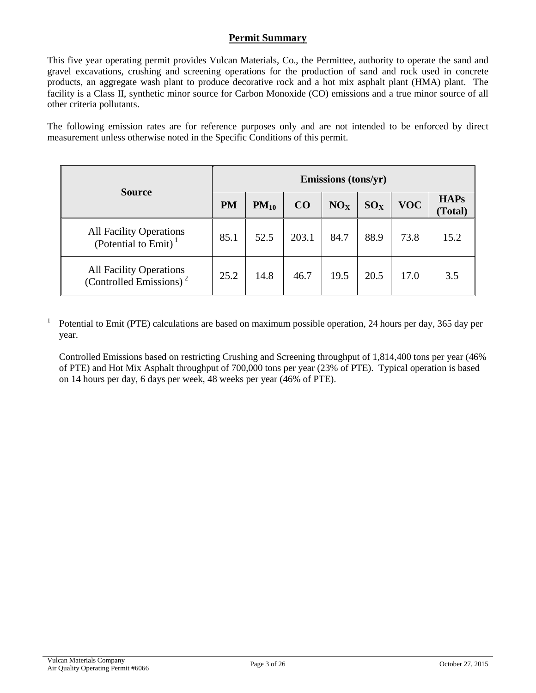### **Permit Summary**

This five year operating permit provides Vulcan Materials, Co., the Permittee, authority to operate the sand and gravel excavations, crushing and screening operations for the production of sand and rock used in concrete products, an aggregate wash plant to produce decorative rock and a hot mix asphalt plant (HMA) plant. The facility is a Class II, synthetic minor source for Carbon Monoxide (CO) emissions and a true minor source of all other criteria pollutants.

The following emission rates are for reference purposes only and are not intended to be enforced by direct measurement unless otherwise noted in the Specific Conditions of this permit.

|                                                                    | Emissions (tons/yr) |           |       |                 |          |            |                        |  |  |
|--------------------------------------------------------------------|---------------------|-----------|-------|-----------------|----------|------------|------------------------|--|--|
| <b>Source</b>                                                      | <b>PM</b>           | $PM_{10}$ | CO    | NO <sub>X</sub> | $SO_{X}$ | <b>VOC</b> | <b>HAPs</b><br>(Total) |  |  |
| <b>All Facility Operations</b><br>(Potential to Emit) <sup>1</sup> | 85.1                | 52.5      | 203.1 | 84.7            | 88.9     | 73.8       | 15.2                   |  |  |
| All Facility Operations<br>(Controlled Emissions) <sup>2</sup>     | 25.2                | 14.8      | 46.7  | 19.5            | 20.5     | 17.0       | 3.5                    |  |  |

<sup>1</sup> Potential to Emit (PTE) calculations are based on maximum possible operation, 24 hours per day, 365 day per year.

Controlled Emissions based on restricting Crushing and Screening throughput of 1,814,400 tons per year (46% of PTE) and Hot Mix Asphalt throughput of 700,000 tons per year (23% of PTE). Typical operation is based on 14 hours per day, 6 days per week, 48 weeks per year (46% of PTE).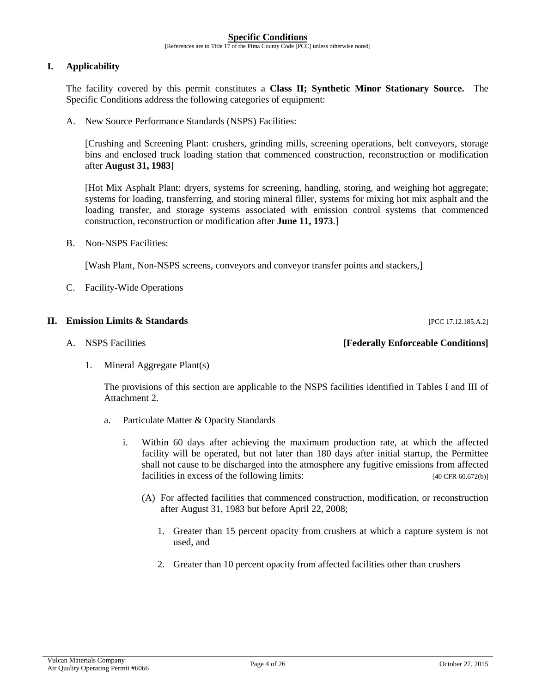#### **Specific Conditions**

[References are to Title 17 of the Pima County Code [PCC] unless otherwise noted]

#### **I. Applicability**

The facility covered by this permit constitutes a **Class II; Synthetic Minor Stationary Source.** The Specific Conditions address the following categories of equipment:

A. New Source Performance Standards (NSPS) Facilities:

[Crushing and Screening Plant: crushers, grinding mills, screening operations, belt conveyors, storage bins and enclosed truck loading station that commenced construction, reconstruction or modification after **August 31, 1983**]

[Hot Mix Asphalt Plant: dryers, systems for screening, handling, storing, and weighing hot aggregate; systems for loading, transferring, and storing mineral filler, systems for mixing hot mix asphalt and the loading transfer, and storage systems associated with emission control systems that commenced construction, reconstruction or modification after **June 11, 1973**.]

B. Non-NSPS Facilities:

[Wash Plant, Non-NSPS screens, conveyors and conveyor transfer points and stackers,]

C. Facility-Wide Operations

#### **II. Emission Limits & Standards** [PCC 17.12.185.A.2]

#### A. NSPS Facilities **[Federally Enforceable Conditions]**

1. Mineral Aggregate Plant(s)

The provisions of this section are applicable to the NSPS facilities identified in Tables I and III of Attachment 2.

- a. Particulate Matter & Opacity Standards
	- i. Within 60 days after achieving the maximum production rate, at which the affected facility will be operated, but not later than 180 days after initial startup, the Permittee shall not cause to be discharged into the atmosphere any fugitive emissions from affected facilities in excess of the following limits: [40 CFR 60.672(b)]
		- (A) For affected facilities that commenced construction, modification, or reconstruction after August 31, 1983 but before April 22, 2008;
			- 1. Greater than 15 percent opacity from crushers at which a capture system is not used, and
			- 2. Greater than 10 percent opacity from affected facilities other than crushers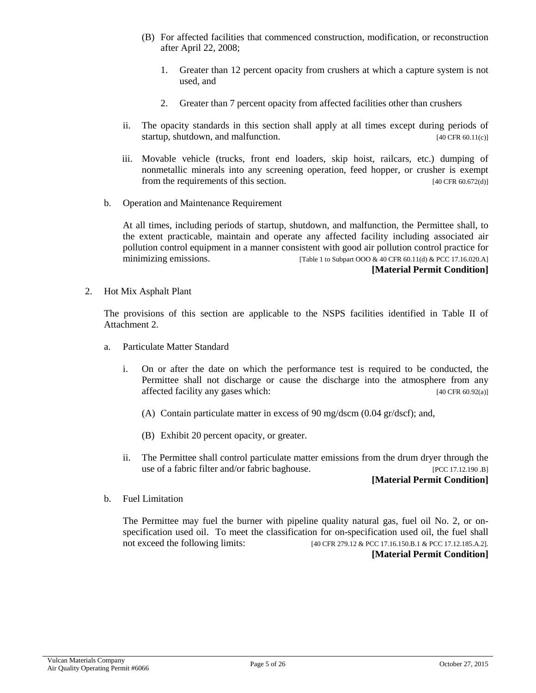- (B) For affected facilities that commenced construction, modification, or reconstruction after April 22, 2008;
	- 1. Greater than 12 percent opacity from crushers at which a capture system is not used, and
	- 2. Greater than 7 percent opacity from affected facilities other than crushers
- ii. The opacity standards in this section shall apply at all times except during periods of startup, shutdown, and malfunction. The contraction of the startup, shutdown, and malfunction.
- iii. Movable vehicle (trucks, front end loaders, skip hoist, railcars, etc.) dumping of nonmetallic minerals into any screening operation, feed hopper, or crusher is exempt from the requirements of this section. [40 CFR 60.672(d)]
- b. Operation and Maintenance Requirement

At all times, including periods of startup, shutdown, and malfunction, the Permittee shall, to the extent practicable, maintain and operate any affected facility including associated air pollution control equipment in a manner consistent with good air pollution control practice for minimizing emissions. [Table 1 to Subpart OOO & 40 CFR 60.11(d) & PCC 17.16.020.A] **[Material Permit Condition]**

2. Hot Mix Asphalt Plant

The provisions of this section are applicable to the NSPS facilities identified in Table II of Attachment 2.

- a. Particulate Matter Standard
	- i. On or after the date on which the performance test is required to be conducted, the Permittee shall not discharge or cause the discharge into the atmosphere from any affected facility any gases which: [40 CFR 60.92(a)]
		- (A) Contain particulate matter in excess of 90 mg/dscm (0.04 gr/dscf); and,
		- (B) Exhibit 20 percent opacity, or greater.
	- ii. The Permittee shall control particulate matter emissions from the drum dryer through the use of a fabric filter and/or fabric baghouse. [PCC 17.12.190 .B]

#### **[Material Permit Condition]**

b. Fuel Limitation

The Permittee may fuel the burner with pipeline quality natural gas, fuel oil No. 2, or onspecification used oil. To meet the classification for on-specification used oil, the fuel shall not exceed the following limits: [40 CFR 279.12 & PCC 17.16.150.B.1 & PCC 17.12.185.A.2]. **[Material Permit Condition]**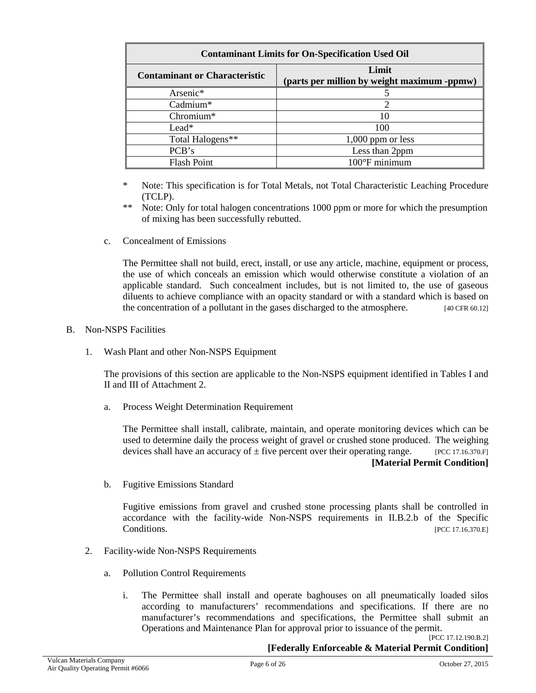| <b>Contaminant Limits for On-Specification Used Oil</b> |                                                      |  |  |  |  |  |
|---------------------------------------------------------|------------------------------------------------------|--|--|--|--|--|
| <b>Contaminant or Characteristic</b>                    | Limit<br>(parts per million by weight maximum -ppmw) |  |  |  |  |  |
| Arsenic*                                                |                                                      |  |  |  |  |  |
| Cadmium*                                                | 2                                                    |  |  |  |  |  |
| Chromium*                                               | 10                                                   |  |  |  |  |  |
| $Leaf*$                                                 | 100                                                  |  |  |  |  |  |
| Total Halogens**                                        | $1,000$ ppm or less                                  |  |  |  |  |  |
| PCB's                                                   | Less than 2ppm                                       |  |  |  |  |  |
| <b>Flash Point</b>                                      | $100^{\circ}$ F minimum                              |  |  |  |  |  |

- \* Note: This specification is for Total Metals, not Total Characteristic Leaching Procedure (TCLP).
- \*\* Note: Only for total halogen concentrations 1000 ppm or more for which the presumption of mixing has been successfully rebutted.
- c. Concealment of Emissions

The Permittee shall not build, erect, install, or use any article, machine, equipment or process, the use of which conceals an emission which would otherwise constitute a violation of an applicable standard. Such concealment includes, but is not limited to, the use of gaseous diluents to achieve compliance with an opacity standard or with a standard which is based on the concentration of a pollutant in the gases discharged to the atmosphere.  $[40 \text{ CFR } 60.12]$ 

#### B. Non-NSPS Facilities

1. Wash Plant and other Non-NSPS Equipment

The provisions of this section are applicable to the Non-NSPS equipment identified in Tables I and II and III of Attachment 2.

a. Process Weight Determination Requirement

The Permittee shall install, calibrate, maintain, and operate monitoring devices which can be used to determine daily the process weight of gravel or crushed stone produced. The weighing devices shall have an accuracy of  $\pm$  five percent over their operating range. [PCC 17.16.370.F] **[Material Permit Condition]**

b. Fugitive Emissions Standard

Fugitive emissions from gravel and crushed stone processing plants shall be controlled in accordance with the facility-wide Non-NSPS requirements in II.B.2.b of the Specific  $[PCC 17.16.370.E]$ 

- 2. Facility-wide Non-NSPS Requirements
	- a. Pollution Control Requirements
		- i. The Permittee shall install and operate baghouses on all pneumatically loaded silos according to manufacturers' recommendations and specifications. If there are no manufacturer's recommendations and specifications, the Permittee shall submit an Operations and Maintenance Plan for approval prior to issuance of the permit.

[PCC 17.12.190.B.2] **[Federally Enforceable & Material Permit Condition]**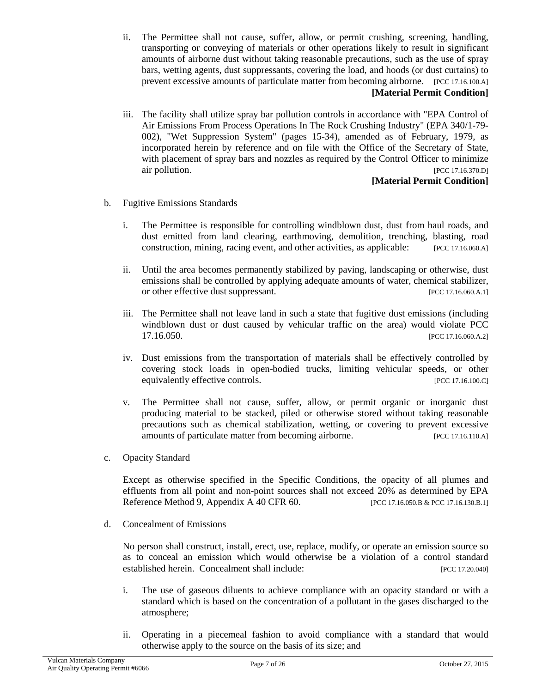- ii. The Permittee shall not cause, suffer, allow, or permit crushing, screening, handling, transporting or conveying of materials or other operations likely to result in significant amounts of airborne dust without taking reasonable precautions, such as the use of spray bars, wetting agents, dust suppressants, covering the load, and hoods (or dust curtains) to prevent excessive amounts of particulate matter from becoming airborne. [PCC 17.16.100.A] **[Material Permit Condition]**
- iii. The facility shall utilize spray bar pollution controls in accordance with "EPA Control of Air Emissions From Process Operations In The Rock Crushing Industry" (EPA 340/1-79- 002), "Wet Suppression System" (pages 15-34), amended as of February, 1979, as incorporated herein by reference and on file with the Office of the Secretary of State, with placement of spray bars and nozzles as required by the Control Officer to minimize air pollution. [PCC 17.16.370.D]

## **[Material Permit Condition]**

- b. Fugitive Emissions Standards
	- i. The Permittee is responsible for controlling windblown dust, dust from haul roads, and dust emitted from land clearing, earthmoving, demolition, trenching, blasting, road construction, mining, racing event, and other activities, as applicable: [PCC 17.16.060.A]
	- ii. Until the area becomes permanently stabilized by paving, landscaping or otherwise, dust emissions shall be controlled by applying adequate amounts of water, chemical stabilizer, or other effective dust suppressant. [PCC 17.16.060.A.1]
	- iii. The Permittee shall not leave land in such a state that fugitive dust emissions (including windblown dust or dust caused by vehicular traffic on the area) would violate PCC 17.16.050. [PCC 17.16.060.A.2]
	- iv. Dust emissions from the transportation of materials shall be effectively controlled by covering stock loads in open-bodied trucks, limiting vehicular speeds, or other equivalently effective controls. [PCC 17.16.100.C]
	- v. The Permittee shall not cause, suffer, allow, or permit organic or inorganic dust producing material to be stacked, piled or otherwise stored without taking reasonable precautions such as chemical stabilization, wetting, or covering to prevent excessive amounts of particulate matter from becoming airborne. [PCC 17.16.110.A]
- c. Opacity Standard

Except as otherwise specified in the Specific Conditions, the opacity of all plumes and effluents from all point and non-point sources shall not exceed 20% as determined by EPA Reference Method 9, Appendix A 40 CFR 60. [PCC 17.16.050.B & PCC 17.16.130.B.1]

d. Concealment of Emissions

No person shall construct, install, erect, use, replace, modify, or operate an emission source so as to conceal an emission which would otherwise be a violation of a control standard established herein. Concealment shall include: [PCC 17.20.040]

- i. The use of gaseous diluents to achieve compliance with an opacity standard or with a standard which is based on the concentration of a pollutant in the gases discharged to the atmosphere;
- ii. Operating in a piecemeal fashion to avoid compliance with a standard that would otherwise apply to the source on the basis of its size; and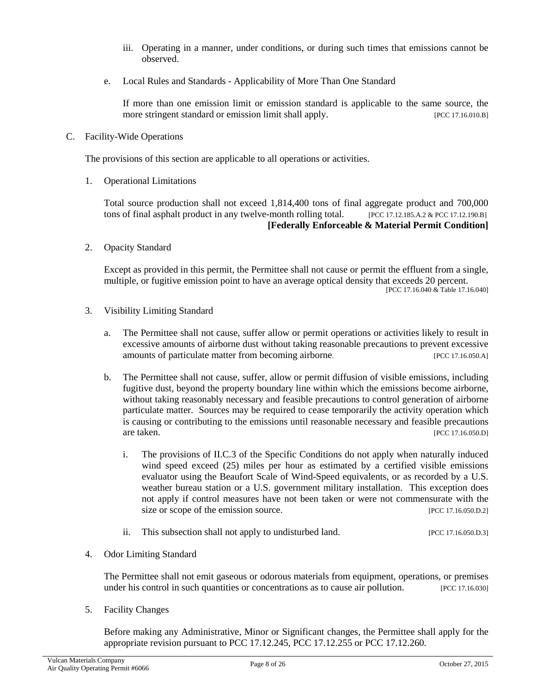- iii. Operating in a manner, under conditions, or during such times that emissions cannot be observed.
- e. Local Rules and Standards Applicability of More Than One Standard

If more than one emission limit or emission standard is applicable to the same source, the more stringent standard or emission limit shall apply. [PCC 17.16.010.B]

C. Facility-Wide Operations

The provisions of this section are applicable to all operations or activities.

1. Operational Limitations

Total source production shall not exceed 1,814,400 tons of final aggregate product and 700,000 tons of final asphalt product in any twelve-month rolling total. [PCC 17.12.185.A.2 & PCC 17.12.190.B] **[Federally Enforceable & Material Permit Condition]**

2. Opacity Standard

Except as provided in this permit, the Permittee shall not cause or permit the effluent from a single, multiple, or fugitive emission point to have an average optical density that exceeds 20 percent. [PCC 17.16.040 & Table 17.16.040]

- 3. Visibility Limiting Standard
	- a. The Permittee shall not cause, suffer allow or permit operations or activities likely to result in excessive amounts of airborne dust without taking reasonable precautions to prevent excessive amounts of particulate matter from becoming airborne. [PCC 17.16.050.A]
	- b. The Permittee shall not cause, suffer, allow or permit diffusion of visible emissions, including fugitive dust, beyond the property boundary line within which the emissions become airborne, without taking reasonably necessary and feasible precautions to control generation of airborne particulate matter. Sources may be required to cease temporarily the activity operation which is causing or contributing to the emissions until reasonable necessary and feasible precautions are taken. [PCC 17.16.050.D]
		- i. The provisions of II.C.3 of the Specific Conditions do not apply when naturally induced wind speed exceed (25) miles per hour as estimated by a certified visible emissions evaluator using the Beaufort Scale of Wind-Speed equivalents, or as recorded by a U.S. weather bureau station or a U.S. government military installation. This exception does not apply if control measures have not been taken or were not commensurate with the size or scope of the emission source. [PCC 17.16.050.D.2]
		- ii. This subsection shall not apply to undisturbed land. [PCC 17.16.050.D.3]
- 4. Odor Limiting Standard

The Permittee shall not emit gaseous or odorous materials from equipment, operations, or premises under his control in such quantities or concentrations as to cause air pollution. [PCC 17.16.030]

5. Facility Changes

Before making any Administrative, Minor or Significant changes, the Permittee shall apply for the appropriate revision pursuant to PCC 17.12.245, PCC 17.12.255 or PCC 17.12.260.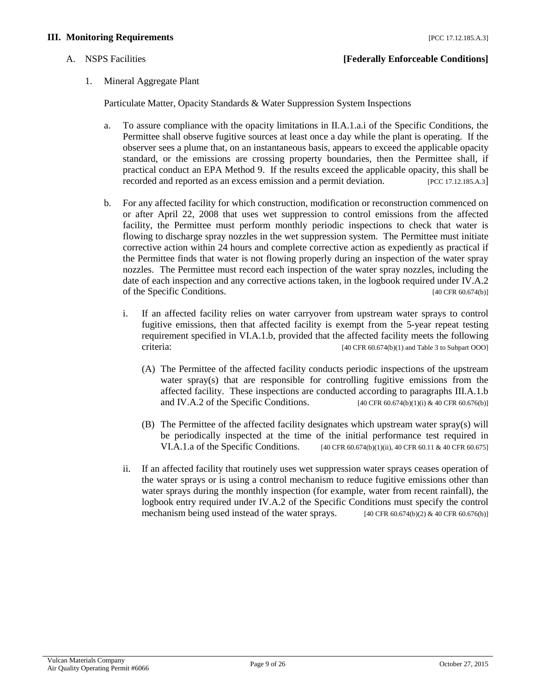#### **III. Monitoring Requirements** [PCC 17.12.185.A.3]

1. Mineral Aggregate Plant

Particulate Matter, Opacity Standards & Water Suppression System Inspections

- a. To assure compliance with the opacity limitations in II.A.1.a.i of the Specific Conditions, the Permittee shall observe fugitive sources at least once a day while the plant is operating. If the observer sees a plume that, on an instantaneous basis, appears to exceed the applicable opacity standard, or the emissions are crossing property boundaries, then the Permittee shall, if practical conduct an EPA Method 9. If the results exceed the applicable opacity, this shall be recorded and reported as an excess emission and a permit deviation. [PCC 17.12.185.A.3]
- b. For any affected facility for which construction, modification or reconstruction commenced on or after April 22, 2008 that uses wet suppression to control emissions from the affected facility, the Permittee must perform monthly periodic inspections to check that water is flowing to discharge spray nozzles in the wet suppression system. The Permittee must initiate corrective action within 24 hours and complete corrective action as expediently as practical if the Permittee finds that water is not flowing properly during an inspection of the water spray nozzles. The Permittee must record each inspection of the water spray nozzles, including the date of each inspection and any corrective actions taken, in the logbook required under IV.A.2 of the Specific Conditions. [40 CFR 60.674(b)]
	- i. If an affected facility relies on water carryover from upstream water sprays to control fugitive emissions, then that affected facility is exempt from the 5-year repeat testing requirement specified in VI.A.1.b, provided that the affected facility meets the following criteria: [40 CFR 60.674(b)(1) and Table 3 to Subpart OOO]
		- (A) The Permittee of the affected facility conducts periodic inspections of the upstream water spray(s) that are responsible for controlling fugitive emissions from the affected facility. These inspections are conducted according to paragraphs III.A.1.b and IV.A.2 of the Specific Conditions. [40 CFR 60.674(b)(1)(i) & 40 CFR 60.676(b)]
		- (B) The Permittee of the affected facility designates which upstream water spray(s) will be periodically inspected at the time of the initial performance test required in VI.A.1.a of the Specific Conditions. [40 CFR 60.674(b)(1)(ii), 40 CFR 60.11 & 40 CFR 60.675]
	- ii. If an affected facility that routinely uses wet suppression water sprays ceases operation of the water sprays or is using a control mechanism to reduce fugitive emissions other than water sprays during the monthly inspection (for example, water from recent rainfall), the logbook entry required under IV.A.2 of the Specific Conditions must specify the control mechanism being used instead of the water sprays.  $[40 \text{ CFR } 60.674(b)(2) \& 40 \text{ CFR } 60.676(b)]$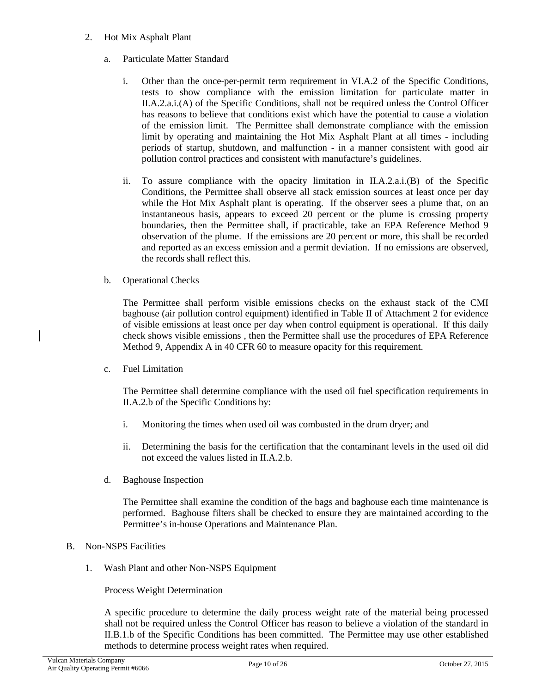- 2. Hot Mix Asphalt Plant
	- a. Particulate Matter Standard
		- i. Other than the once-per-permit term requirement in VI.A.2 of the Specific Conditions, tests to show compliance with the emission limitation for particulate matter in II.A.2.a.i.(A) of the Specific Conditions, shall not be required unless the Control Officer has reasons to believe that conditions exist which have the potential to cause a violation of the emission limit. The Permittee shall demonstrate compliance with the emission limit by operating and maintaining the Hot Mix Asphalt Plant at all times - including periods of startup, shutdown, and malfunction - in a manner consistent with good air pollution control practices and consistent with manufacture's guidelines.
		- ii. To assure compliance with the opacity limitation in II.A.2.a.i.(B) of the Specific Conditions, the Permittee shall observe all stack emission sources at least once per day while the Hot Mix Asphalt plant is operating. If the observer sees a plume that, on an instantaneous basis, appears to exceed 20 percent or the plume is crossing property boundaries, then the Permittee shall, if practicable, take an EPA Reference Method 9 observation of the plume. If the emissions are 20 percent or more, this shall be recorded and reported as an excess emission and a permit deviation. If no emissions are observed, the records shall reflect this.
	- b. Operational Checks

The Permittee shall perform visible emissions checks on the exhaust stack of the CMI baghouse (air pollution control equipment) identified in Table II of Attachment 2 for evidence of visible emissions at least once per day when control equipment is operational. If this daily check shows visible emissions , then the Permittee shall use the procedures of EPA Reference Method 9, Appendix A in 40 CFR 60 to measure opacity for this requirement.

c. Fuel Limitation

The Permittee shall determine compliance with the used oil fuel specification requirements in II.A.2.b of the Specific Conditions by:

- i. Monitoring the times when used oil was combusted in the drum dryer; and
- ii. Determining the basis for the certification that the contaminant levels in the used oil did not exceed the values listed in II.A.2.b.
- d. Baghouse Inspection

The Permittee shall examine the condition of the bags and baghouse each time maintenance is performed. Baghouse filters shall be checked to ensure they are maintained according to the Permittee's in-house Operations and Maintenance Plan.

- B. Non-NSPS Facilities
	- 1. Wash Plant and other Non-NSPS Equipment

Process Weight Determination

A specific procedure to determine the daily process weight rate of the material being processed shall not be required unless the Control Officer has reason to believe a violation of the standard in II.B.1.b of the Specific Conditions has been committed. The Permittee may use other established methods to determine process weight rates when required.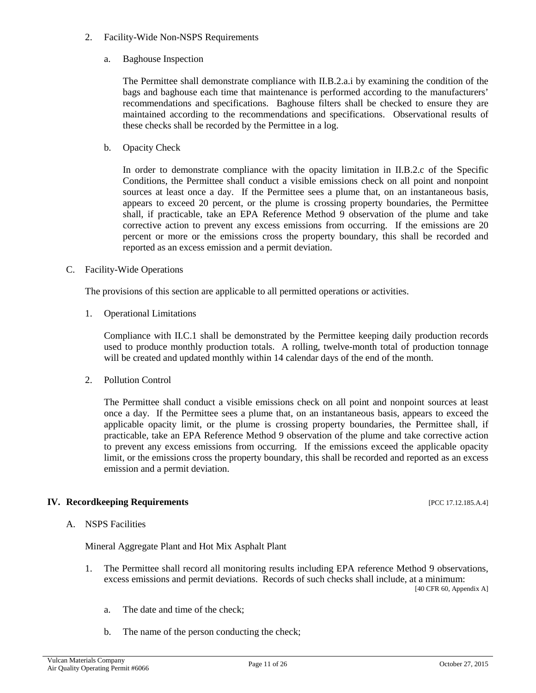- 2. Facility-Wide Non-NSPS Requirements
	- a. Baghouse Inspection

The Permittee shall demonstrate compliance with II.B.2.a.i by examining the condition of the bags and baghouse each time that maintenance is performed according to the manufacturers' recommendations and specifications. Baghouse filters shall be checked to ensure they are maintained according to the recommendations and specifications. Observational results of these checks shall be recorded by the Permittee in a log.

b. Opacity Check

In order to demonstrate compliance with the opacity limitation in II.B.2.c of the Specific Conditions, the Permittee shall conduct a visible emissions check on all point and nonpoint sources at least once a day. If the Permittee sees a plume that, on an instantaneous basis, appears to exceed 20 percent, or the plume is crossing property boundaries, the Permittee shall, if practicable, take an EPA Reference Method 9 observation of the plume and take corrective action to prevent any excess emissions from occurring. If the emissions are 20 percent or more or the emissions cross the property boundary, this shall be recorded and reported as an excess emission and a permit deviation.

C. Facility-Wide Operations

The provisions of this section are applicable to all permitted operations or activities.

1. Operational Limitations

Compliance with II.C.1 shall be demonstrated by the Permittee keeping daily production records used to produce monthly production totals. A rolling, twelve-month total of production tonnage will be created and updated monthly within 14 calendar days of the end of the month.

2. Pollution Control

The Permittee shall conduct a visible emissions check on all point and nonpoint sources at least once a day. If the Permittee sees a plume that, on an instantaneous basis, appears to exceed the applicable opacity limit, or the plume is crossing property boundaries, the Permittee shall, if practicable, take an EPA Reference Method 9 observation of the plume and take corrective action to prevent any excess emissions from occurring. If the emissions exceed the applicable opacity limit, or the emissions cross the property boundary, this shall be recorded and reported as an excess emission and a permit deviation.

### **IV. Recordkeeping Requirements** [PCC 17.12.185.A.4]

A. NSPS Facilities

Mineral Aggregate Plant and Hot Mix Asphalt Plant

1. The Permittee shall record all monitoring results including EPA reference Method 9 observations, excess emissions and permit deviations. Records of such checks shall include, at a minimum:

[40 CFR 60, Appendix A]

- a. The date and time of the check;
- b. The name of the person conducting the check;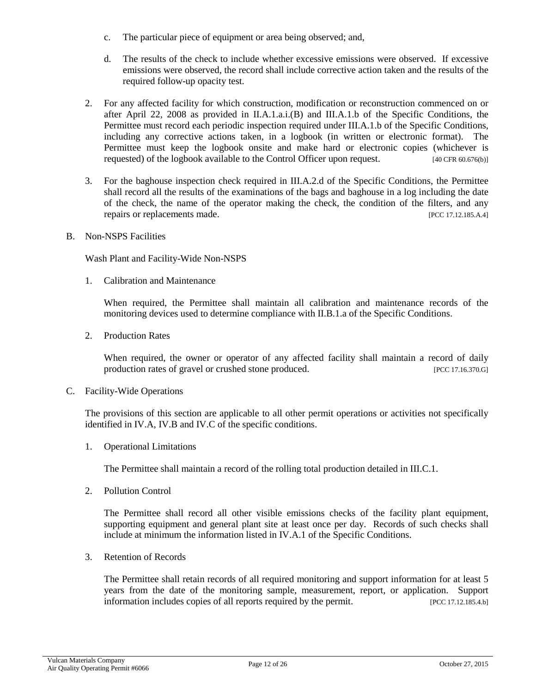- c. The particular piece of equipment or area being observed; and,
- d. The results of the check to include whether excessive emissions were observed. If excessive emissions were observed, the record shall include corrective action taken and the results of the required follow-up opacity test.
- 2. For any affected facility for which construction, modification or reconstruction commenced on or after April 22, 2008 as provided in II.A.1.a.i.(B) and III.A.1.b of the Specific Conditions, the Permittee must record each periodic inspection required under III.A.1.b of the Specific Conditions, including any corrective actions taken, in a logbook (in written or electronic format). The Permittee must keep the logbook onsite and make hard or electronic copies (whichever is requested) of the logbook available to the Control Officer upon request. [40 CFR 60.676(b)]
- 3. For the baghouse inspection check required in III.A.2.d of the Specific Conditions, the Permittee shall record all the results of the examinations of the bags and baghouse in a log including the date of the check, the name of the operator making the check, the condition of the filters, and any repairs or replacements made. [PCC 17.12.185.A.4]
- B. Non-NSPS Facilities

Wash Plant and Facility-Wide Non-NSPS

1. Calibration and Maintenance

When required, the Permittee shall maintain all calibration and maintenance records of the monitoring devices used to determine compliance with II.B.1.a of the Specific Conditions.

2. Production Rates

When required, the owner or operator of any affected facility shall maintain a record of daily production rates of gravel or crushed stone produced. [PCC 17.16.370.G]

C. Facility-Wide Operations

The provisions of this section are applicable to all other permit operations or activities not specifically identified in IV.A, IV.B and IV.C of the specific conditions.

1. Operational Limitations

The Permittee shall maintain a record of the rolling total production detailed in III.C.1.

2. Pollution Control

The Permittee shall record all other visible emissions checks of the facility plant equipment, supporting equipment and general plant site at least once per day. Records of such checks shall include at minimum the information listed in IV.A.1 of the Specific Conditions.

3. Retention of Records

The Permittee shall retain records of all required monitoring and support information for at least 5 years from the date of the monitoring sample, measurement, report, or application. Support information includes copies of all reports required by the permit. [PCC 17.12.185.4.b]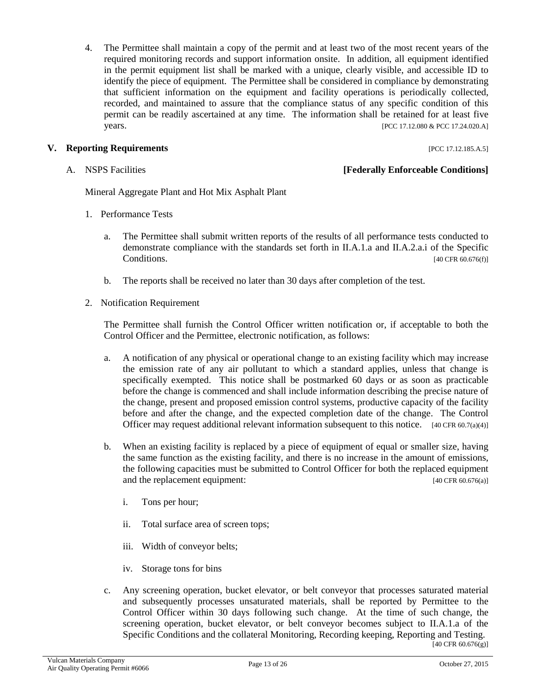4. The Permittee shall maintain a copy of the permit and at least two of the most recent years of the required monitoring records and support information onsite. In addition, all equipment identified in the permit equipment list shall be marked with a unique, clearly visible, and accessible ID to identify the piece of equipment. The Permittee shall be considered in compliance by demonstrating that sufficient information on the equipment and facility operations is periodically collected, recorded, and maintained to assure that the compliance status of any specific condition of this permit can be readily ascertained at any time. The information shall be retained for at least five years. [PCC 17.12.080 & PCC 17.24.020.A]

#### **V. Reporting Requirements Example 2018 EXECUTE: PCC 17.12.185.A.5**]

#### A. NSPS Facilities **[Federally Enforceable Conditions]**

Mineral Aggregate Plant and Hot Mix Asphalt Plant

- 1. Performance Tests
	- a. The Permittee shall submit written reports of the results of all performance tests conducted to demonstrate compliance with the standards set forth in II.A.1.a and II.A.2.a.i of the Specific Conditions. [40 CFR 60.676(f)]
	- b. The reports shall be received no later than 30 days after completion of the test.
- 2. Notification Requirement

The Permittee shall furnish the Control Officer written notification or, if acceptable to both the Control Officer and the Permittee, electronic notification, as follows:

- a. A notification of any physical or operational change to an existing facility which may increase the emission rate of any air pollutant to which a standard applies, unless that change is specifically exempted. This notice shall be postmarked 60 days or as soon as practicable before the change is commenced and shall include information describing the precise nature of the change, present and proposed emission control systems, productive capacity of the facility before and after the change, and the expected completion date of the change. The Control Officer may request additional relevant information subsequent to this notice. [40 CFR 60.7(a)(4)]
- b. When an existing facility is replaced by a piece of equipment of equal or smaller size, having the same function as the existing facility, and there is no increase in the amount of emissions, the following capacities must be submitted to Control Officer for both the replaced equipment and the replacement equipment: [40 CFR 60.676(a)]
	- i. Tons per hour;
	- ii. Total surface area of screen tops;
	- iii. Width of conveyor belts;
	- iv. Storage tons for bins
- c. Any screening operation, bucket elevator, or belt conveyor that processes saturated material and subsequently processes unsaturated materials, shall be reported by Permittee to the Control Officer within 30 days following such change. At the time of such change, the screening operation, bucket elevator, or belt conveyor becomes subject to II.A.1.a of the Specific Conditions and the collateral Monitoring, Recording keeping, Reporting and Testing. [40 CFR 60.676(g)]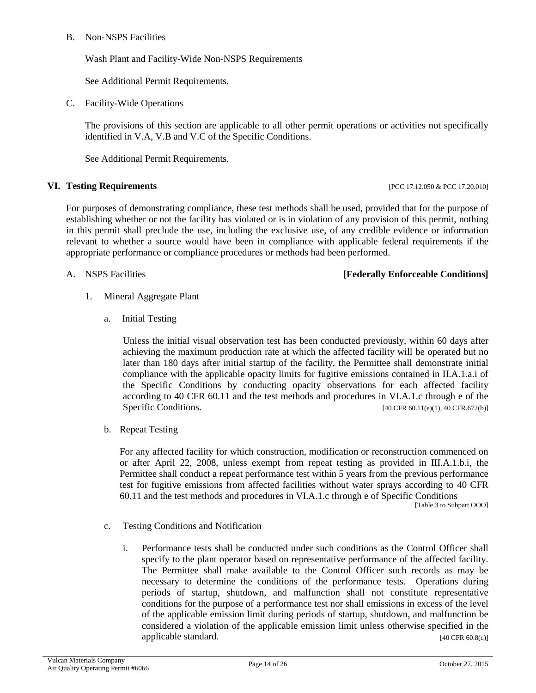#### B. Non-NSPS Facilities

Wash Plant and Facility-Wide Non-NSPS Requirements

See Additional Permit Requirements.

C. Facility-Wide Operations

The provisions of this section are applicable to all other permit operations or activities not specifically identified in V.A, V.B and V.C of the Specific Conditions.

See Additional Permit Requirements.

#### **VI.** Testing Requirements **Example 2018 PCC 17.12.050 & PCC 17.20.010**

For purposes of demonstrating compliance, these test methods shall be used, provided that for the purpose of establishing whether or not the facility has violated or is in violation of any provision of this permit, nothing in this permit shall preclude the use, including the exclusive use, of any credible evidence or information relevant to whether a source would have been in compliance with applicable federal requirements if the appropriate performance or compliance procedures or methods had been performed.

### A. NSPS Facilities **[Federally Enforceable Conditions]**

- 1. Mineral Aggregate Plant
	- a. Initial Testing

Unless the initial visual observation test has been conducted previously, within 60 days after achieving the maximum production rate at which the affected facility will be operated but no later than 180 days after initial startup of the facility, the Permittee shall demonstrate initial compliance with the applicable opacity limits for fugitive emissions contained in II.A.1.a.i of the Specific Conditions by conducting opacity observations for each affected facility according to 40 CFR 60.11 and the test methods and procedures in VI.A.1.c through e of the Specific Conditions. [40 CFR 60.11(e)(1), 40 CFR.672(b)]

b. Repeat Testing

For any affected facility for which construction, modification or reconstruction commenced on or after April 22, 2008, unless exempt from repeat testing as provided in III.A.1.b.i, the Permittee shall conduct a repeat performance test within 5 years from the previous performance test for fugitive emissions from affected facilities without water sprays according to 40 CFR 60.11 and the test methods and procedures in VI.A.1.c through e of Specific Conditions

[Table 3 to Subpart OOO]

- c. Testing Conditions and Notification
	- i. Performance tests shall be conducted under such conditions as the Control Officer shall specify to the plant operator based on representative performance of the affected facility. The Permittee shall make available to the Control Officer such records as may be necessary to determine the conditions of the performance tests. Operations during periods of startup, shutdown, and malfunction shall not constitute representative conditions for the purpose of a performance test nor shall emissions in excess of the level of the applicable emission limit during periods of startup, shutdown, and malfunction be considered a violation of the applicable emission limit unless otherwise specified in the applicable standard. [40 CFR 60.8(c)]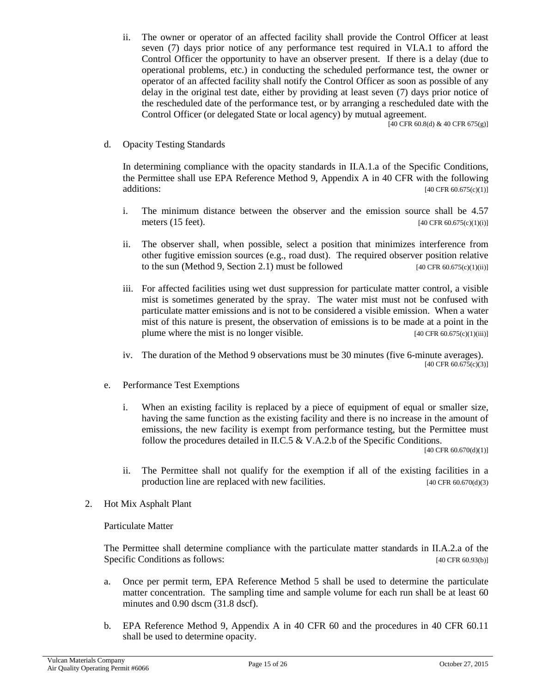ii. The owner or operator of an affected facility shall provide the Control Officer at least seven (7) days prior notice of any performance test required in VI.A.1 to afford the Control Officer the opportunity to have an observer present. If there is a delay (due to operational problems, etc.) in conducting the scheduled performance test, the owner or operator of an affected facility shall notify the Control Officer as soon as possible of any delay in the original test date, either by providing at least seven (7) days prior notice of the rescheduled date of the performance test, or by arranging a rescheduled date with the Control Officer (or delegated State or local agency) by mutual agreement.

[40 CFR 60.8(d) & 40 CFR 675(g)]

d. Opacity Testing Standards

In determining compliance with the opacity standards in II.A.1.a of the Specific Conditions, the Permittee shall use EPA Reference Method 9, Appendix A in 40 CFR with the following  $[40 \text{ CFR } 60.675 \text{ (c)}(1)]$ 

- i. The minimum distance between the observer and the emission source shall be 4.57 meters  $(15 \text{ feet})$ . [40 CFR 60.675(c)(1)(i)]
- ii. The observer shall, when possible, select a position that minimizes interference from other fugitive emission sources (e.g., road dust). The required observer position relative to the sun (Method 9, Section 2.1) must be followed [40 CFR 60.675(c)(1)(ii)]
- iii. For affected facilities using wet dust suppression for particulate matter control, a visible mist is sometimes generated by the spray. The water mist must not be confused with particulate matter emissions and is not to be considered a visible emission. When a water mist of this nature is present, the observation of emissions is to be made at a point in the plume where the mist is no longer visible. [40 CFR 60.675(c)(1)(iii)]
- iv. The duration of the Method 9 observations must be 30 minutes (five 6-minute averages). [40 CFR 60.675(c)(3)]
- e. Performance Test Exemptions
	- i. When an existing facility is replaced by a piece of equipment of equal or smaller size, having the same function as the existing facility and there is no increase in the amount of emissions, the new facility is exempt from performance testing, but the Permittee must follow the procedures detailed in II.C.5 & V.A.2.b of the Specific Conditions.

[40 CFR 60.670(d)(1)]

- ii. The Permittee shall not qualify for the exemption if all of the existing facilities in a production line are replaced with new facilities.  $[40 \text{ CFR } 60.670 \text{ (d)}(3)]$
- 2. Hot Mix Asphalt Plant

Particulate Matter

The Permittee shall determine compliance with the particulate matter standards in II.A.2.a of the Specific Conditions as follows: [40 CFR 60.93(b)]

- a. Once per permit term, EPA Reference Method 5 shall be used to determine the particulate matter concentration. The sampling time and sample volume for each run shall be at least 60 minutes and 0.90 dscm (31.8 dscf).
- b. EPA Reference Method 9, Appendix A in 40 CFR 60 and the procedures in 40 CFR 60.11 shall be used to determine opacity.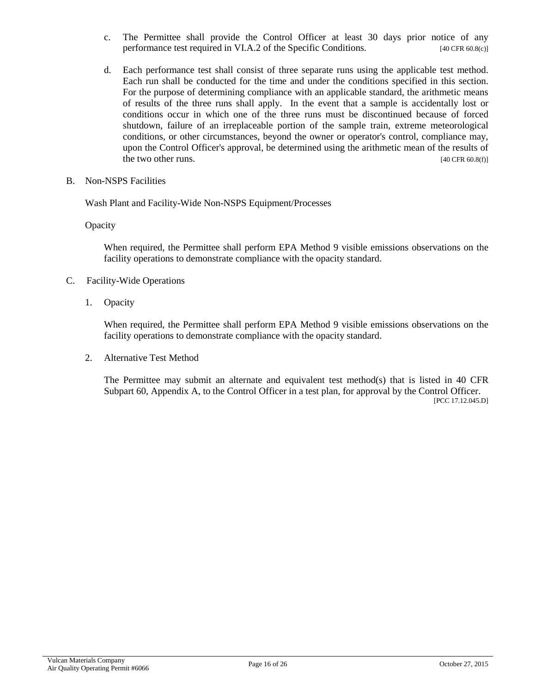- c. The Permittee shall provide the Control Officer at least 30 days prior notice of any performance test required in VI.A.2 of the Specific Conditions. [40 CFR 60.8(c)]
- d. Each performance test shall consist of three separate runs using the applicable test method. Each run shall be conducted for the time and under the conditions specified in this section. For the purpose of determining compliance with an applicable standard, the arithmetic means of results of the three runs shall apply. In the event that a sample is accidentally lost or conditions occur in which one of the three runs must be discontinued because of forced shutdown, failure of an irreplaceable portion of the sample train, extreme meteorological conditions, or other circumstances, beyond the owner or operator's control, compliance may, upon the Control Officer's approval, be determined using the arithmetic mean of the results of the two other runs.  $[40 \text{ CFR } 60.8 \text{(f)}]$
- B. Non-NSPS Facilities

Wash Plant and Facility-Wide Non-NSPS Equipment/Processes

**Opacity** 

When required, the Permittee shall perform EPA Method 9 visible emissions observations on the facility operations to demonstrate compliance with the opacity standard.

- C. Facility-Wide Operations
	- 1. Opacity

When required, the Permittee shall perform EPA Method 9 visible emissions observations on the facility operations to demonstrate compliance with the opacity standard.

2. Alternative Test Method

The Permittee may submit an alternate and equivalent test method(s) that is listed in 40 CFR Subpart 60, Appendix A, to the Control Officer in a test plan, for approval by the Control Officer. [PCC 17.12.045.D]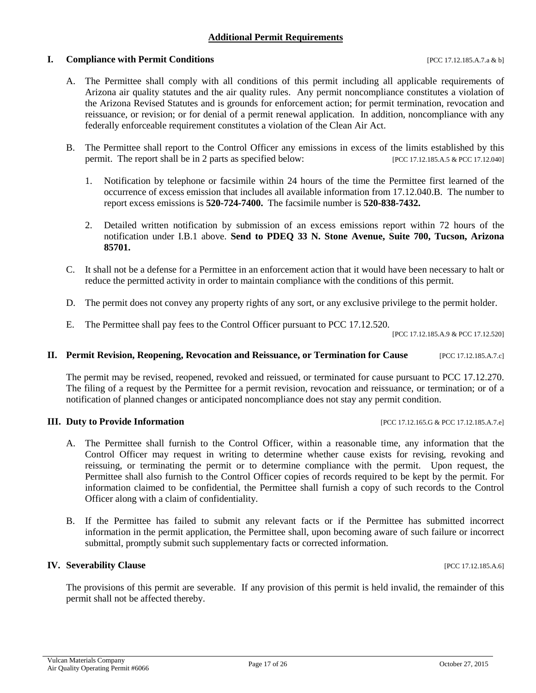#### **Additional Permit Requirements**

#### **I. Compliance with Permit Conditions Example 2012 18:48 [PCC 17.12.185.A.7.a & b]**

- A. The Permittee shall comply with all conditions of this permit including all applicable requirements of Arizona air quality statutes and the air quality rules. Any permit noncompliance constitutes a violation of the Arizona Revised Statutes and is grounds for enforcement action; for permit termination, revocation and reissuance, or revision; or for denial of a permit renewal application. In addition, noncompliance with any federally enforceable requirement constitutes a violation of the Clean Air Act.
- B. The Permittee shall report to the Control Officer any emissions in excess of the limits established by this permit. The report shall be in 2 parts as specified below: [PCC 17.12.185.A.5 & PCC 17.12.040]
	- 1. Notification by telephone or facsimile within 24 hours of the time the Permittee first learned of the occurrence of excess emission that includes all available information from 17.12.040.B. The number to report excess emissions is **520-724-7400.** The facsimile number is **520-838-7432.**
	- 2. Detailed written notification by submission of an excess emissions report within 72 hours of the notification under I.B.1 above. **Send to PDEQ 33 N. Stone Avenue, Suite 700, Tucson, Arizona 85701.**
- C. It shall not be a defense for a Permittee in an enforcement action that it would have been necessary to halt or reduce the permitted activity in order to maintain compliance with the conditions of this permit.
- D. The permit does not convey any property rights of any sort, or any exclusive privilege to the permit holder.
- E. The Permittee shall pay fees to the Control Officer pursuant to PCC 17.12.520.

[PCC 17.12.185.A.9 & PCC 17.12.520]

#### **II. Permit Revision, Reopening, Revocation and Reissuance, or Termination for Cause** [PCC 17.12.185.A.7.c]

The permit may be revised, reopened, revoked and reissued, or terminated for cause pursuant to PCC 17.12.270. The filing of a request by the Permittee for a permit revision, revocation and reissuance, or termination; or of a notification of planned changes or anticipated noncompliance does not stay any permit condition.

#### **III. Duty to Provide Information** [PCC 17.12.165.G & PCC 17.12.185.A.7.e]

- A. The Permittee shall furnish to the Control Officer, within a reasonable time, any information that the Control Officer may request in writing to determine whether cause exists for revising, revoking and reissuing, or terminating the permit or to determine compliance with the permit. Upon request, the Permittee shall also furnish to the Control Officer copies of records required to be kept by the permit. For information claimed to be confidential, the Permittee shall furnish a copy of such records to the Control Officer along with a claim of confidentiality.
- B. If the Permittee has failed to submit any relevant facts or if the Permittee has submitted incorrect information in the permit application, the Permittee shall, upon becoming aware of such failure or incorrect submittal, promptly submit such supplementary facts or corrected information.

#### **IV. Severability Clause** [PCC 17.12.185.A.6]

The provisions of this permit are severable. If any provision of this permit is held invalid, the remainder of this permit shall not be affected thereby.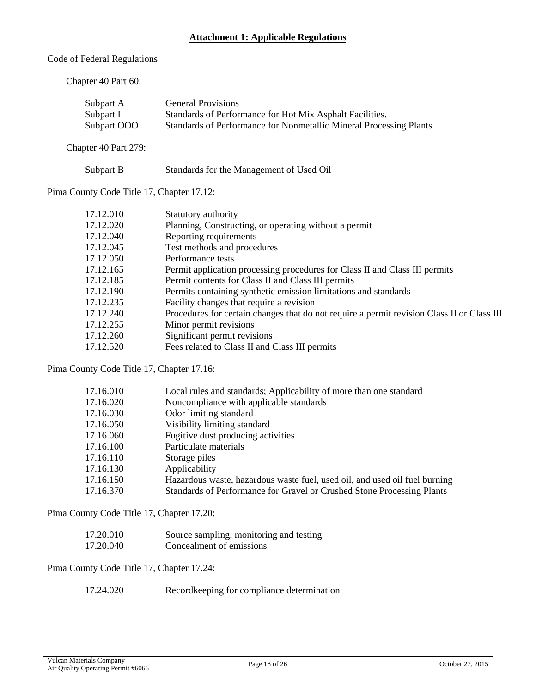#### **Attachment 1: Applicable Regulations**

Code of Federal Regulations

Chapter 40 Part 60:

Subpart A General Provisions Subpart I Standards of Performance for Hot Mix Asphalt Facilities. Subpart OOO Standards of Performance for Nonmetallic Mineral Processing Plants

Chapter 40 Part 279:

| Subpart B | Standards for the Management of Used Oil |
|-----------|------------------------------------------|
|-----------|------------------------------------------|

Pima County Code Title 17, Chapter 17.12:

| 17.12.010 | Statutory authority                                                                        |
|-----------|--------------------------------------------------------------------------------------------|
| 17.12.020 | Planning, Constructing, or operating without a permit                                      |
| 17.12.040 | Reporting requirements                                                                     |
| 17.12.045 | Test methods and procedures                                                                |
| 17.12.050 | Performance tests                                                                          |
| 17.12.165 | Permit application processing procedures for Class II and Class III permits                |
| 17.12.185 | Permit contents for Class II and Class III permits                                         |
| 17.12.190 | Permits containing synthetic emission limitations and standards                            |
| 17.12.235 | Facility changes that require a revision                                                   |
| 17.12.240 | Procedures for certain changes that do not require a permit revision Class II or Class III |
| 17.12.255 | Minor permit revisions                                                                     |
| 17.12.260 | Significant permit revisions                                                               |
| 17.12.520 | Fees related to Class II and Class III permits                                             |

Pima County Code Title 17, Chapter 17.16:

| 17.16.010 | Local rules and standards; Applicability of more than one standard         |
|-----------|----------------------------------------------------------------------------|
| 17.16.020 | Noncompliance with applicable standards                                    |
| 17.16.030 | Odor limiting standard                                                     |
| 17.16.050 | Visibility limiting standard                                               |
| 17.16.060 | Fugitive dust producing activities                                         |
| 17.16.100 | Particulate materials                                                      |
| 17.16.110 | Storage piles                                                              |
| 17.16.130 | Applicability                                                              |
| 17.16.150 | Hazardous waste, hazardous waste fuel, used oil, and used oil fuel burning |
| 17.16.370 | Standards of Performance for Gravel or Crushed Stone Processing Plants     |
|           |                                                                            |

Pima County Code Title 17, Chapter 17.20:

| 17.20.010 | Source sampling, monitoring and testing |
|-----------|-----------------------------------------|
| 17.20.040 | Concealment of emissions                |

Pima County Code Title 17, Chapter 17.24:

| 17.24.020 | Record keeping for compliance determination |
|-----------|---------------------------------------------|
|-----------|---------------------------------------------|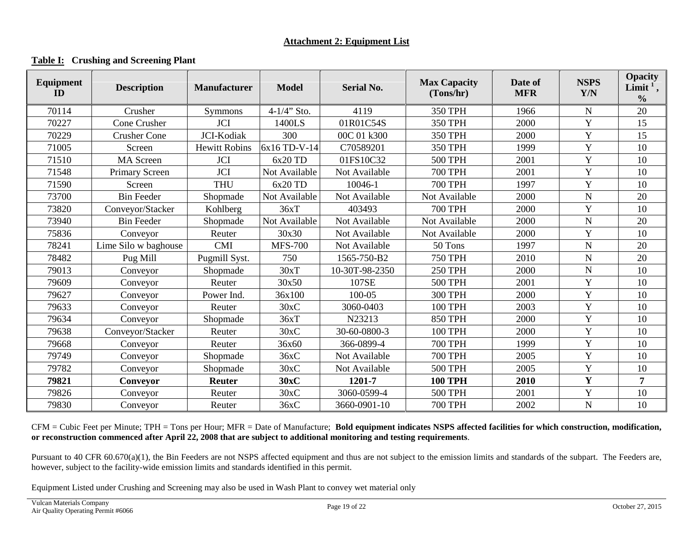#### **Table I: Crushing and Screening Plant**

| <b>Equipment</b><br>ID | <b>Description</b>   | <b>Manufacturer</b>  | <b>Model</b>   | <b>Serial No.</b> | <b>Max Capacity</b><br>(Tons/hr) | Date of<br><b>MFR</b> | <b>NSPS</b><br>Y/N | <b>Opacity</b><br>Limit <sup>1</sup> ,<br>$\frac{0}{0}$ |
|------------------------|----------------------|----------------------|----------------|-------------------|----------------------------------|-----------------------|--------------------|---------------------------------------------------------|
| 70114                  | Crusher              | Symmons              | $4-1/4$ " Sto. | 4119              | <b>350 TPH</b>                   | 1966                  | $\mathbf N$        | 20                                                      |
| 70227                  | Cone Crusher         | <b>JCI</b>           | 1400LS         | 01R01C54S         | <b>350 TPH</b>                   | 2000                  | Y                  | 15                                                      |
| 70229                  | <b>Crusher Cone</b>  | JCI-Kodiak           | 300            | 00C 01 k300       | 350 TPH                          | 2000                  | Y                  | 15                                                      |
| 71005                  | Screen               | <b>Hewitt Robins</b> | 6x16 TD-V-14   | C70589201         | 350 TPH                          | 1999                  | Y                  | 10                                                      |
| 71510                  | <b>MA</b> Screen     | <b>JCI</b>           | $6x20$ TD      | 01FS10C32         | <b>500 TPH</b>                   | 2001                  | Y                  | 10                                                      |
| 71548                  | Primary Screen       | <b>JCI</b>           | Not Available  | Not Available     | <b>700 TPH</b>                   | 2001                  | $\mathbf Y$        | 10                                                      |
| 71590                  | Screen               | <b>THU</b>           | $6x20$ TD      | 10046-1           | <b>700 TPH</b>                   | 1997                  | Y                  | 10                                                      |
| 73700                  | <b>Bin Feeder</b>    | Shopmade             | Not Available  | Not Available     | Not Available                    | 2000                  | ${\bf N}$          | 20                                                      |
| 73820                  | Conveyor/Stacker     | Kohlberg             | 36xT           | 403493            | <b>700 TPH</b>                   | 2000                  | Y                  | 10                                                      |
| 73940                  | <b>Bin Feeder</b>    | Shopmade             | Not Available  | Not Available     | Not Available                    | 2000                  | ${\bf N}$          | 20                                                      |
| 75836                  | Conveyor             | Reuter               | 30x30          | Not Available     | Not Available                    | 2000                  | Y                  | 10                                                      |
| 78241                  | Lime Silo w baghouse | <b>CMI</b>           | <b>MFS-700</b> | Not Available     | 50 Tons                          | 1997                  | $\mathbf N$        | 20                                                      |
| 78482                  | Pug Mill             | Pugmill Syst.        | 750            | 1565-750-B2       | <b>750 TPH</b>                   | 2010                  | ${\bf N}$          | 20                                                      |
| 79013                  | Conveyor             | Shopmade             | 30xT           | 10-30T-98-2350    | <b>250 TPH</b>                   | 2000                  | ${\bf N}$          | 10                                                      |
| 79609                  | Conveyor             | Reuter               | 30x50          | 107SE             | <b>500 TPH</b>                   | 2001                  | Y                  | 10                                                      |
| 79627                  | Conveyor             | Power Ind.           | 36x100         | 100-05            | <b>300 TPH</b>                   | 2000                  | Y                  | 10                                                      |
| 79633                  | Conveyor             | Reuter               | 30xC           | 3060-0403         | <b>100 TPH</b>                   | 2003                  | Y                  | 10                                                      |
| 79634                  | Conveyor             | Shopmade             | 36xT           | N23213            | <b>850 TPH</b>                   | 2000                  | Y                  | 10                                                      |
| 79638                  | Conveyor/Stacker     | Reuter               | 30xC           | 30-60-0800-3      | 100 TPH                          | 2000                  | Y                  | 10                                                      |
| 79668                  | Conveyor             | Reuter               | 36x60          | 366-0899-4        | <b>700 TPH</b>                   | 1999                  | Y                  | 10                                                      |
| 79749                  | Conveyor             | Shopmade             | 36xC           | Not Available     | <b>700 TPH</b>                   | 2005                  | Y                  | 10                                                      |
| 79782                  | Conveyor             | Shopmade             | 30xC           | Not Available     | <b>500 TPH</b>                   | 2005                  | Y                  | 10                                                      |
| 79821                  | Conveyor             | <b>Reuter</b>        | 30xC           | 1201-7            | <b>100 TPH</b>                   | 2010                  | $\mathbf Y$        | 7                                                       |
| 79826                  | Conveyor             | Reuter               | 30xC           | 3060-0599-4       | <b>500 TPH</b>                   | 2001                  | Y                  | 10                                                      |
| 79830                  | Conveyor             | Reuter               | 36xC           | 3660-0901-10      | <b>700 TPH</b>                   | 2002                  | ${\bf N}$          | 10                                                      |

CFM = Cubic Feet per Minute; TPH = Tons per Hour; MFR = Date of Manufacture; **Bold equipment indicates NSPS affected facilities for which construction, modification, or reconstruction commenced after April 22, 2008 that are subject to additional monitoring and testing requirements**.

Pursuant to 40 CFR 60.670(a)(1), the Bin Feeders are not NSPS affected equipment and thus are not subject to the emission limits and standards of the subpart. The Feeders are, however, subject to the facility-wide emission limits and standards identified in this permit.

Equipment Listed under Crushing and Screening may also be used in Wash Plant to convey wet material only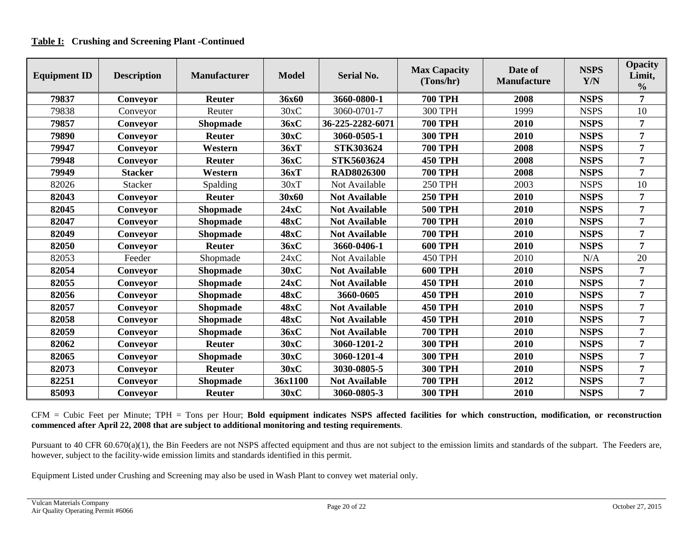#### **Table I: Crushing and Screening Plant -Continued**

| <b>Equipment ID</b> | <b>Description</b> | <b>Manufacturer</b> | <b>Model</b> | <b>Serial No.</b>    | <b>Max Capacity</b><br>(Tons/hr) | Date of<br><b>Manufacture</b> | <b>NSPS</b><br>Y/N | <b>Opacity</b><br>Limit,<br>$\frac{0}{0}$ |
|---------------------|--------------------|---------------------|--------------|----------------------|----------------------------------|-------------------------------|--------------------|-------------------------------------------|
| 79837               | Conveyor           | <b>Reuter</b>       | 36x60        | 3660-0800-1          | <b>700 TPH</b>                   | 2008                          | <b>NSPS</b>        | 7                                         |
| 79838               | Conveyor           | Reuter              | 30xC         | 3060-0701-7          | <b>300 TPH</b>                   | 1999                          | <b>NSPS</b>        | 10                                        |
| 79857               | Conveyor           | <b>Shopmade</b>     | 36xC         | 36-225-2282-6071     | <b>700 TPH</b>                   | 2010                          | <b>NSPS</b>        | 7                                         |
| 79890               | Conveyor           | <b>Reuter</b>       | 30xC         | 3060-0505-1          | <b>300 TPH</b>                   | 2010                          | <b>NSPS</b>        | 7                                         |
| 79947               | Conveyor           | Western             | 36xT         | STK303624            | <b>700 TPH</b>                   | 2008                          | <b>NSPS</b>        | $\overline{7}$                            |
| 79948               | Conveyor           | <b>Reuter</b>       | 36xC         | STK5603624           | <b>450 TPH</b>                   | 2008                          | <b>NSPS</b>        | $\overline{7}$                            |
| 79949               | <b>Stacker</b>     | Western             | 36xT         | <b>RAD8026300</b>    | <b>700 TPH</b>                   | 2008                          | <b>NSPS</b>        | 7                                         |
| 82026               | <b>Stacker</b>     | Spalding            | 30xT         | Not Available        | <b>250 TPH</b>                   | 2003                          | <b>NSPS</b>        | 10                                        |
| 82043               | Conveyor           | <b>Reuter</b>       | 30x60        | <b>Not Available</b> | <b>250 TPH</b>                   | 2010                          | <b>NSPS</b>        | $\overline{7}$                            |
| 82045               | Conveyor           | <b>Shopmade</b>     | 24xC         | <b>Not Available</b> | <b>500 TPH</b>                   | 2010                          | <b>NSPS</b>        | 7                                         |
| 82047               | Conveyor           | <b>Shopmade</b>     | 48xC         | <b>Not Available</b> | <b>700 TPH</b>                   | 2010                          | <b>NSPS</b>        | 7                                         |
| 82049               | Conveyor           | <b>Shopmade</b>     | 48xC         | <b>Not Available</b> | <b>700 TPH</b>                   | 2010                          | <b>NSPS</b>        | $\overline{7}$                            |
| 82050               | Conveyor           | <b>Reuter</b>       | 36xC         | 3660-0406-1          | <b>600 TPH</b>                   | 2010                          | <b>NSPS</b>        | 7                                         |
| 82053               | Feeder             | Shopmade            | 24xC         | Not Available        | <b>450 TPH</b>                   | 2010                          | N/A                | 20                                        |
| 82054               | Conveyor           | <b>Shopmade</b>     | 30xC         | <b>Not Available</b> | <b>600 TPH</b>                   | 2010                          | <b>NSPS</b>        | 7                                         |
| 82055               | Conveyor           | <b>Shopmade</b>     | 24xC         | <b>Not Available</b> | <b>450 TPH</b>                   | 2010                          | <b>NSPS</b>        | 7                                         |
| 82056               | Conveyor           | <b>Shopmade</b>     | 48xC         | 3660-0605            | <b>450 TPH</b>                   | 2010                          | <b>NSPS</b>        | $\overline{7}$                            |
| 82057               | Conveyor           | <b>Shopmade</b>     | 48xC         | <b>Not Available</b> | <b>450 TPH</b>                   | 2010                          | <b>NSPS</b>        | $\overline{7}$                            |
| 82058               | Conveyor           | <b>Shopmade</b>     | 48xC         | <b>Not Available</b> | <b>450 TPH</b>                   | 2010                          | <b>NSPS</b>        | 7                                         |
| 82059               | Conveyor           | <b>Shopmade</b>     | 36xC         | <b>Not Available</b> | <b>700 TPH</b>                   | 2010                          | <b>NSPS</b>        | 7                                         |
| 82062               | Conveyor           | <b>Reuter</b>       | 30xC         | 3060-1201-2          | <b>300 TPH</b>                   | 2010                          | <b>NSPS</b>        | $\overline{7}$                            |
| 82065               | Conveyor           | <b>Shopmade</b>     | 30xC         | 3060-1201-4          | <b>300 TPH</b>                   | 2010                          | <b>NSPS</b>        | 7                                         |
| 82073               | Conveyor           | <b>Reuter</b>       | 30xC         | 3030-0805-5          | <b>300 TPH</b>                   | 2010                          | <b>NSPS</b>        | $\overline{7}$                            |
| 82251               | Conveyor           | Shopmade            | 36x1100      | <b>Not Available</b> | <b>700 TPH</b>                   | 2012                          | <b>NSPS</b>        | $\overline{7}$                            |
| 85093               | Conveyor           | Reuter              | 30xC         | 3060-0805-3          | <b>300 TPH</b>                   | 2010                          | <b>NSPS</b>        | $\overline{7}$                            |

CFM = Cubic Feet per Minute; TPH = Tons per Hour; **Bold equipment indicates NSPS affected facilities for which construction, modification, or reconstruction commenced after April 22, 2008 that are subject to additional monitoring and testing requirements**.

Pursuant to 40 CFR 60.670(a)(1), the Bin Feeders are not NSPS affected equipment and thus are not subject to the emission limits and standards of the subpart. The Feeders are, however, subject to the facility-wide emission limits and standards identified in this permit.

Equipment Listed under Crushing and Screening may also be used in Wash Plant to convey wet material only.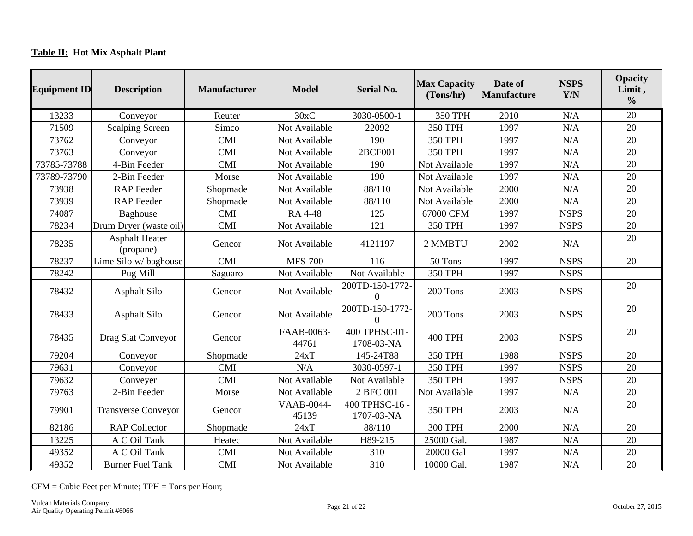# **Table II: Hot Mix Asphalt Plant**

| <b>Equipment ID</b> | <b>Description</b>                 | <b>Manufacturer</b> | <b>Model</b>               | <b>Serial No.</b>            | <b>Max Capacity</b><br>(Tons/hr) | Date of<br><b>Manufacture</b> | <b>NSPS</b><br>Y/N | <b>Opacity</b><br>Limit,<br>$\frac{0}{0}$ |
|---------------------|------------------------------------|---------------------|----------------------------|------------------------------|----------------------------------|-------------------------------|--------------------|-------------------------------------------|
| 13233               | Conveyor                           | Reuter              | 30xC                       | 3030-0500-1                  | 350 TPH                          | 2010                          | N/A                | 20                                        |
| 71509               | <b>Scalping Screen</b>             | Simco               | Not Available              | 22092                        | 350 TPH                          | 1997                          | N/A                | 20                                        |
| 73762               | Conveyor                           | <b>CMI</b>          | Not Available              | 190                          | 350 TPH                          | 1997                          | N/A                | 20                                        |
| 73763               | Conveyor                           | <b>CMI</b>          | Not Available              | 2BCF001                      | <b>350 TPH</b>                   | 1997                          | N/A                | 20                                        |
| 73785-73788         | 4-Bin Feeder                       | <b>CMI</b>          | Not Available              | 190                          | Not Available                    | 1997                          | N/A                | 20                                        |
| 73789-73790         | 2-Bin Feeder                       | Morse               | Not Available              | 190                          | Not Available                    | 1997                          | N/A                | 20                                        |
| 73938               | <b>RAP</b> Feeder                  | Shopmade            | Not Available              | 88/110                       | Not Available                    | 2000                          | N/A                | 20                                        |
| 73939               | <b>RAP</b> Feeder                  | Shopmade            | Not Available              | 88/110                       | Not Available                    | 2000                          | N/A                | 20                                        |
| 74087               | Baghouse                           | <b>CMI</b>          | <b>RA 4-48</b>             | 125                          | 67000 CFM                        | 1997                          | <b>NSPS</b>        | 20                                        |
| 78234               | Drum Dryer (waste oil)             | <b>CMI</b>          | Not Available              | 121                          | 350 TPH                          | 1997                          | <b>NSPS</b>        | 20                                        |
| 78235               | <b>Asphalt Heater</b><br>(propane) | Gencor              | Not Available              | 4121197                      | 2 MMBTU                          | 2002                          | N/A                | 20                                        |
| 78237               | Lime Silo w/baghouse               | <b>CMI</b>          | <b>MFS-700</b>             | 116                          | 50 Tons                          | 1997                          | <b>NSPS</b>        | 20                                        |
| 78242               | Pug Mill                           | Saguaro             | Not Available              | Not Available                | <b>350 TPH</b>                   | 1997                          | <b>NSPS</b>        |                                           |
| 78432               | <b>Asphalt Silo</b>                | Gencor              | Not Available              | 200TD-150-1772-<br>$\Omega$  | 200 Tons                         | 2003                          | <b>NSPS</b>        | 20                                        |
| 78433               | <b>Asphalt Silo</b>                | Gencor              | Not Available              | 200TD-150-1772-<br>$\Omega$  | 200 Tons                         | 2003                          | <b>NSPS</b>        | 20                                        |
| 78435               | Drag Slat Conveyor                 | Gencor              | FAAB-0063-<br>44761        | 400 TPHSC-01-<br>1708-03-NA  | <b>400 TPH</b>                   | 2003                          | <b>NSPS</b>        | 20                                        |
| 79204               | Conveyor                           | Shopmade            | 24xT                       | 145-24T88                    | <b>350 TPH</b>                   | 1988                          | <b>NSPS</b>        | 20                                        |
| 79631               | Conveyor                           | <b>CMI</b>          | N/A                        | 3030-0597-1                  | 350 TPH                          | 1997                          | <b>NSPS</b>        | 20                                        |
| 79632               | Conveyer                           | <b>CMI</b>          | Not Available              | Not Available                | 350 TPH                          | 1997                          | <b>NSPS</b>        | 20                                        |
| 79763               | 2-Bin Feeder                       | Morse               | Not Available              | 2 BFC 001                    | Not Available                    | 1997                          | N/A                | 20                                        |
| 79901               | <b>Transverse Conveyor</b>         | Gencor              | <b>VAAB-0044-</b><br>45139 | 400 TPHSC-16 -<br>1707-03-NA | 350 TPH                          | 2003                          | N/A                | 20                                        |
| 82186               | <b>RAP Collector</b>               | Shopmade            | 24xT                       | 88/110                       | <b>300 TPH</b>                   | 2000                          | N/A                | 20                                        |
| 13225               | A C Oil Tank                       | Heatec              | Not Available              | H89-215                      | 25000 Gal.                       | 1987                          | N/A                | 20                                        |
| 49352               | A C Oil Tank                       | <b>CMI</b>          | Not Available              | 310                          | 20000 Gal                        | 1997                          | N/A                | 20                                        |
| 49352               | <b>Burner Fuel Tank</b>            | <b>CMI</b>          | Not Available              | 310                          | 10000 Gal.                       | 1987                          | N/A                | 20                                        |

CFM = Cubic Feet per Minute; TPH = Tons per Hour;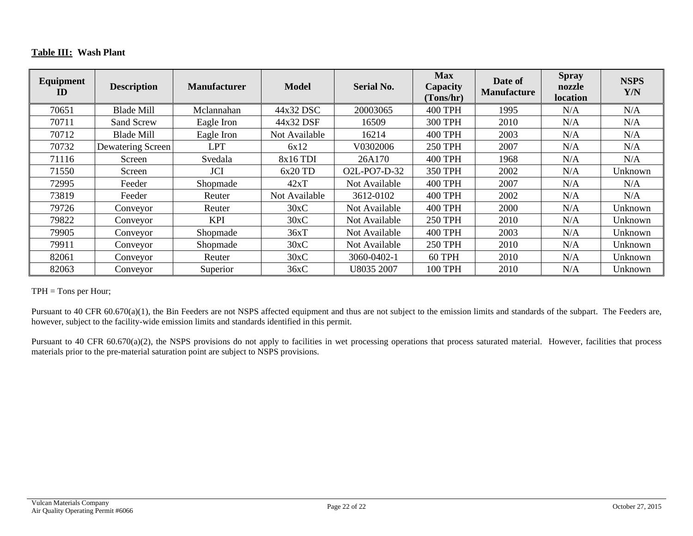#### **Table III: Wash Plant**

| Equipment<br>ID | <b>Description</b> | <b>Manufacturer</b> | <b>Model</b>  | <b>Serial No.</b> | <b>Max</b><br>Capacity<br>(Tons/hr) | Date of<br><b>Manufacture</b> | <b>Spray</b><br>nozzle<br><b>location</b> | <b>NSPS</b><br>Y/N |
|-----------------|--------------------|---------------------|---------------|-------------------|-------------------------------------|-------------------------------|-------------------------------------------|--------------------|
| 70651           | Blade Mill         | Mclannahan          | 44x32 DSC     | 20003065          | <b>400 TPH</b>                      | 1995                          | N/A                                       | N/A                |
| 70711           | Sand Screw         | Eagle Iron          | 44x32 DSF     | 16509             | <b>300 TPH</b>                      | 2010                          | N/A                                       | N/A                |
| 70712           | <b>Blade Mill</b>  | Eagle Iron          | Not Available | 16214             | <b>400 TPH</b>                      | 2003                          | N/A                                       | N/A                |
| 70732           | Dewatering Screen  | <b>LPT</b>          | 6x12          | V0302006          | <b>250 TPH</b>                      | 2007                          | N/A                                       | N/A                |
| 71116           | Screen             | Svedala             | 8x16 TDI      | 26A170            | <b>400 TPH</b>                      | 1968                          | N/A                                       | N/A                |
| 71550           | Screen             | <b>JCI</b>          | $6x20$ TD     | O2L-PO7-D-32      | 350 TPH                             | 2002                          | N/A                                       | Unknown            |
| 72995           | Feeder             | Shopmade            | 42xT          | Not Available     | <b>400 TPH</b>                      | 2007                          | N/A                                       | N/A                |
| 73819           | Feeder             | Reuter              | Not Available | 3612-0102         | <b>400 TPH</b>                      | 2002                          | N/A                                       | N/A                |
| 79726           | Conveyor           | Reuter              | 30xC          | Not Available     | <b>400 TPH</b>                      | 2000                          | N/A                                       | Unknown            |
| 79822           | Conveyor           | <b>KPI</b>          | 30xC          | Not Available     | <b>250 TPH</b>                      | 2010                          | N/A                                       | Unknown            |
| 79905           | Conveyor           | Shopmade            | 36xT          | Not Available     | <b>400 TPH</b>                      | 2003                          | N/A                                       | Unknown            |
| 79911           | Conveyor           | Shopmade            | 30xC          | Not Available     | <b>250 TPH</b>                      | 2010                          | N/A                                       | Unknown            |
| 82061           | Conveyor           | Reuter              | 30xC          | 3060-0402-1       | 60 TPH                              | 2010                          | N/A                                       | Unknown            |
| 82063           | Conveyor           | Superior            | 36xC          | U8035 2007        | <b>100 TPH</b>                      | 2010                          | N/A                                       | Unknown            |

TPH = Tons per Hour;

Pursuant to 40 CFR 60.670(a)(1), the Bin Feeders are not NSPS affected equipment and thus are not subject to the emission limits and standards of the subpart. The Feeders are, however, subject to the facility-wide emission limits and standards identified in this permit.

Pursuant to 40 CFR 60.670(a)(2), the NSPS provisions do not apply to facilities in wet processing operations that process saturated material. However, facilities that process materials prior to the pre-material saturation point are subject to NSPS provisions.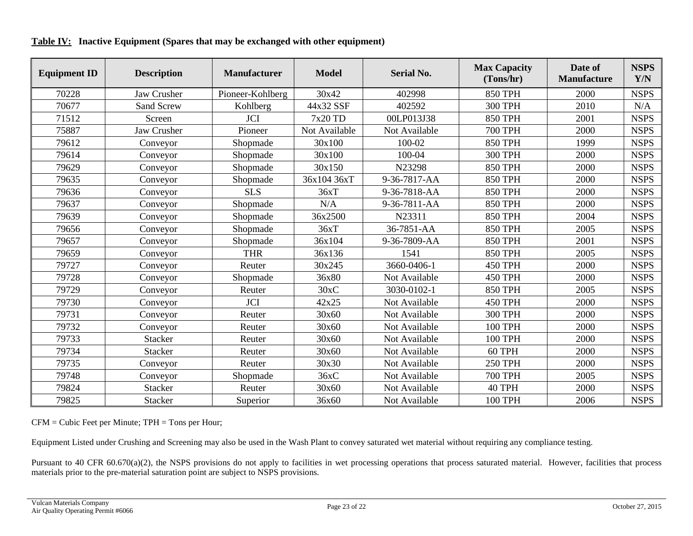| <b>Equipment ID</b> | <b>Description</b> | <b>Manufacturer</b> | <b>Model</b>  | <b>Serial No.</b> | <b>Max Capacity</b><br>(Tons/hr) | Date of<br><b>Manufacture</b> | <b>NSPS</b><br>Y/N |
|---------------------|--------------------|---------------------|---------------|-------------------|----------------------------------|-------------------------------|--------------------|
| 70228               | Jaw Crusher        | Pioneer-Kohlberg    | 30x42         | 402998            | <b>850 TPH</b>                   | 2000                          | <b>NSPS</b>        |
| 70677               | <b>Sand Screw</b>  | Kohlberg            | 44x32 SSF     | 402592            | <b>300 TPH</b>                   | 2010                          | N/A                |
| 71512               | Screen             | JCI                 | 7x20 TD       | 00LP013J38        | <b>850 TPH</b>                   | 2001                          | <b>NSPS</b>        |
| 75887               | <b>Jaw Crusher</b> | Pioneer             | Not Available | Not Available     | <b>700 TPH</b>                   | 2000                          | <b>NSPS</b>        |
| 79612               | Conveyor           | Shopmade            | 30x100        | 100-02            | <b>850 TPH</b>                   | 1999                          | <b>NSPS</b>        |
| 79614               | Conveyor           | Shopmade            | 30x100        | 100-04            | <b>300 TPH</b>                   | 2000                          | <b>NSPS</b>        |
| 79629               | Conveyor           | Shopmade            | 30x150        | N23298            | <b>850 TPH</b>                   | 2000                          | <b>NSPS</b>        |
| 79635               | Conveyor           | Shopmade            | 36x104 36xT   | 9-36-7817-AA      | <b>850 TPH</b>                   | 2000                          | <b>NSPS</b>        |
| 79636               | Conveyor           | <b>SLS</b>          | 36xT          | 9-36-7818-AA      | <b>850 TPH</b>                   | 2000                          | <b>NSPS</b>        |
| 79637               | Conveyor           | Shopmade            | N/A           | 9-36-7811-AA      | <b>850 TPH</b>                   | 2000                          | <b>NSPS</b>        |
| 79639               | Conveyor           | Shopmade            | 36x2500       | N23311            | <b>850 TPH</b>                   | 2004                          | <b>NSPS</b>        |
| 79656               | Conveyor           | Shopmade            | 36xT          | 36-7851-AA        | <b>850 TPH</b>                   | 2005                          | <b>NSPS</b>        |
| 79657               | Conveyor           | Shopmade            | 36x104        | 9-36-7809-AA      | <b>850 TPH</b>                   | 2001                          | <b>NSPS</b>        |
| 79659               | Conveyor           | <b>THR</b>          | 36x136        | 1541              | <b>850 TPH</b>                   | 2005                          | <b>NSPS</b>        |
| 79727               | Conveyor           | Reuter              | 30x245        | 3660-0406-1       | <b>450 TPH</b>                   | 2000                          | <b>NSPS</b>        |
| 79728               | Conveyor           | Shopmade            | 36x80         | Not Available     | <b>450 TPH</b>                   | 2000                          | <b>NSPS</b>        |
| 79729               | Conveyor           | Reuter              | 30xC          | 3030-0102-1       | <b>850 TPH</b>                   | 2005                          | <b>NSPS</b>        |
| 79730               | Conveyor           | <b>JCI</b>          | 42x25         | Not Available     | <b>450 TPH</b>                   | 2000                          | <b>NSPS</b>        |
| 79731               | Conveyor           | Reuter              | 30x60         | Not Available     | <b>300 TPH</b>                   | 2000                          | <b>NSPS</b>        |
| 79732               | Conveyor           | Reuter              | 30x60         | Not Available     | <b>100 TPH</b>                   | 2000                          | <b>NSPS</b>        |
| 79733               | <b>Stacker</b>     | Reuter              | 30x60         | Not Available     | 100 TPH                          | 2000                          | <b>NSPS</b>        |
| 79734               | <b>Stacker</b>     | Reuter              | 30x60         | Not Available     | 60 TPH                           | 2000                          | <b>NSPS</b>        |
| 79735               | Conveyor           | Reuter              | 30x30         | Not Available     | <b>250 TPH</b>                   | 2000                          | <b>NSPS</b>        |
| 79748               | Conveyor           | Shopmade            | 36xC          | Not Available     | <b>700 TPH</b>                   | 2005                          | <b>NSPS</b>        |
| 79824               | <b>Stacker</b>     | Reuter              | 30x60         | Not Available     | 40 TPH                           | 2000                          | <b>NSPS</b>        |
| 79825               | Stacker            | Superior            | 36x60         | Not Available     | 100 TPH                          | 2006                          | <b>NSPS</b>        |

**Table IV: Inactive Equipment (Spares that may be exchanged with other equipment)**

CFM = Cubic Feet per Minute; TPH = Tons per Hour;

Equipment Listed under Crushing and Screening may also be used in the Wash Plant to convey saturated wet material without requiring any compliance testing.

Pursuant to 40 CFR 60.670(a)(2), the NSPS provisions do not apply to facilities in wet processing operations that process saturated material. However, facilities that process materials prior to the pre-material saturation point are subject to NSPS provisions.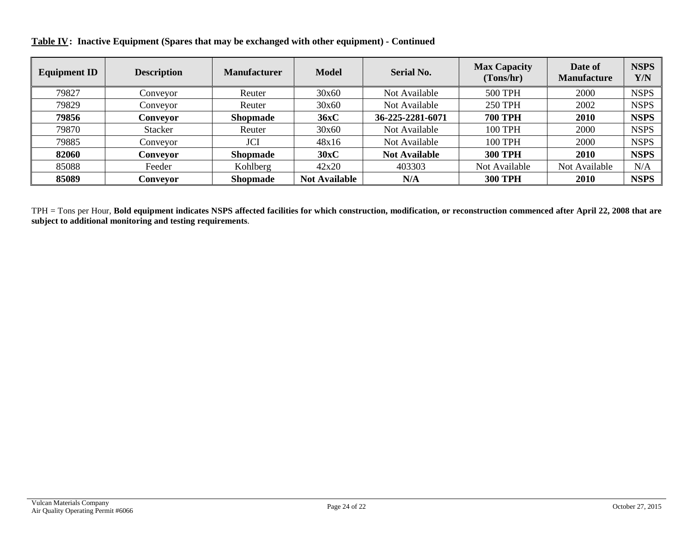**Table IV: Inactive Equipment (Spares that may be exchanged with other equipment) - Continued**

| <b>Equipment ID</b> | <b>Description</b> | <b>Manufacturer</b> | <b>Model</b>         | <b>Serial No.</b>    | <b>Max Capacity</b><br>(Tons/hr) | Date of<br><b>Manufacture</b> | <b>NSPS</b><br>Y/N |
|---------------------|--------------------|---------------------|----------------------|----------------------|----------------------------------|-------------------------------|--------------------|
| 79827               | Conveyor           | Reuter              | 30x60                | Not Available        | <b>500 TPH</b>                   | 2000                          | <b>NSPS</b>        |
| 79829               | Conveyor           | Reuter              | 30x60                | Not Available        | <b>250 TPH</b>                   | 2002                          | <b>NSPS</b>        |
| 79856               | Conveyor           | <b>Shopmade</b>     | 36xC                 | 36-225-2281-6071     | <b>700 TPH</b>                   | 2010                          | <b>NSPS</b>        |
| 79870               | <b>Stacker</b>     | Reuter              | 30x60                | Not Available        | <b>100 TPH</b>                   | 2000                          | <b>NSPS</b>        |
| 79885               | Conveyor           | JCI                 | 48x16                | Not Available        | <b>100 TPH</b>                   | 2000                          | <b>NSPS</b>        |
| 82060               | Conveyor           | <b>Shopmade</b>     | 30xC                 | <b>Not Available</b> | <b>300 TPH</b>                   | 2010                          | <b>NSPS</b>        |
| 85088               | Feeder             | Kohlberg            | 42x20                | 403303               | Not Available                    | Not Available                 | N/A                |
| 85089               | Conveyor           | <b>Shopmade</b>     | <b>Not Available</b> | N/A                  | <b>300 TPH</b>                   | 2010                          | <b>NSPS</b>        |

TPH = Tons per Hour, **Bold equipment indicates NSPS affected facilities for which construction, modification, or reconstruction commenced after April 22, 2008 that are subject to additional monitoring and testing requirements**.